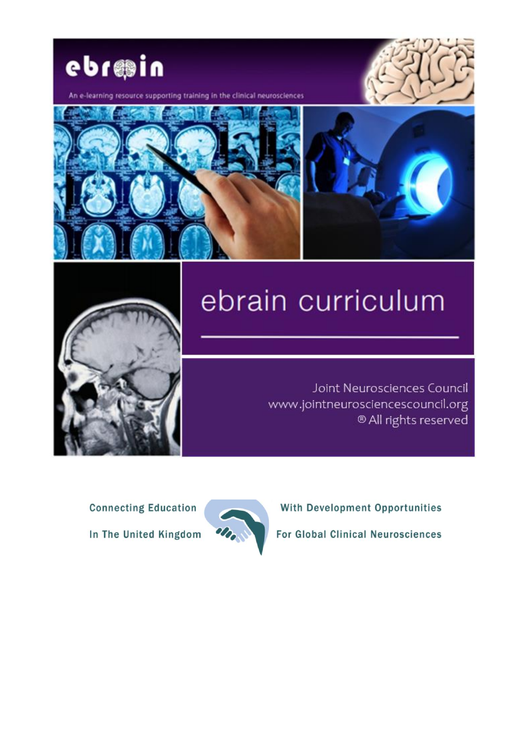



An e-learning resource supporting training in the clinical neurosciences





Joint Neurosciences Council www.jointneurosciencescouncil.org ® All rights reserved

**Connecting Education** In The United Kingdom



**With Development Opportunities** 

**For Global Clinical Neurosciences**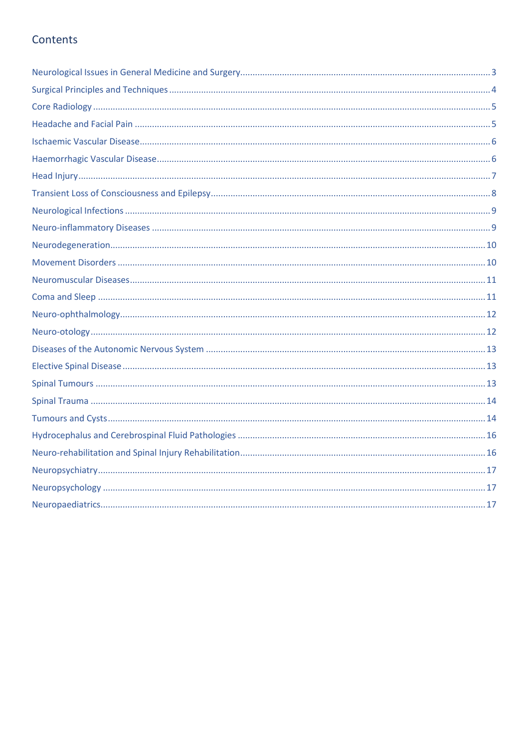#### Contents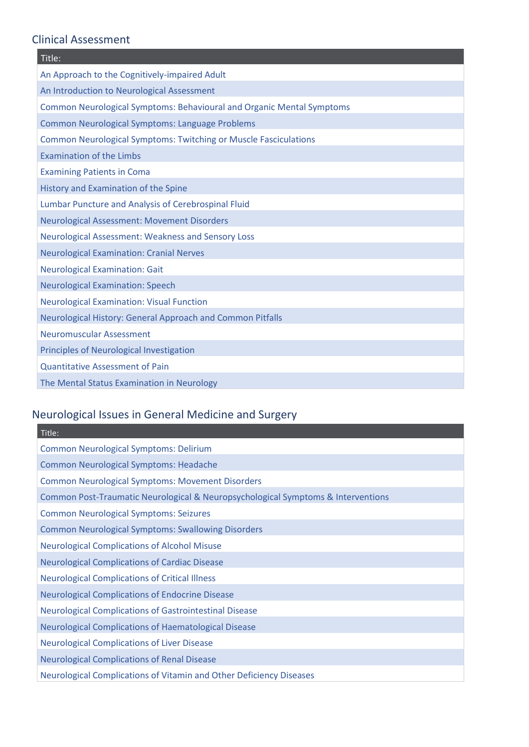#### Clinical Assessment

| Title:                                                                       |
|------------------------------------------------------------------------------|
| An Approach to the Cognitively-impaired Adult                                |
| An Introduction to Neurological Assessment                                   |
| <b>Common Neurological Symptoms: Behavioural and Organic Mental Symptoms</b> |
| <b>Common Neurological Symptoms: Language Problems</b>                       |
| <b>Common Neurological Symptoms: Twitching or Muscle Fasciculations</b>      |
| <b>Examination of the Limbs</b>                                              |
| <b>Examining Patients in Coma</b>                                            |
| History and Examination of the Spine                                         |
| <b>Lumbar Puncture and Analysis of Cerebrospinal Fluid</b>                   |
| <b>Neurological Assessment: Movement Disorders</b>                           |
| <b>Neurological Assessment: Weakness and Sensory Loss</b>                    |
| <b>Neurological Examination: Cranial Nerves</b>                              |
| <b>Neurological Examination: Gait</b>                                        |
| <b>Neurological Examination: Speech</b>                                      |
| <b>Neurological Examination: Visual Function</b>                             |
| Neurological History: General Approach and Common Pitfalls                   |
| <b>Neuromuscular Assessment</b>                                              |
| <b>Principles of Neurological Investigation</b>                              |
| <b>Quantitative Assessment of Pain</b>                                       |
| The Mental Status Examination in Neurology                                   |

# <span id="page-2-0"></span>Neurological Issues in General Medicine and Surgery

| Title:                                                                           |
|----------------------------------------------------------------------------------|
| <b>Common Neurological Symptoms: Delirium</b>                                    |
| <b>Common Neurological Symptoms: Headache</b>                                    |
| <b>Common Neurological Symptoms: Movement Disorders</b>                          |
| Common Post-Traumatic Neurological & Neuropsychological Symptoms & Interventions |
| <b>Common Neurological Symptoms: Seizures</b>                                    |
| <b>Common Neurological Symptoms: Swallowing Disorders</b>                        |
| <b>Neurological Complications of Alcohol Misuse</b>                              |
| <b>Neurological Complications of Cardiac Disease</b>                             |
| <b>Neurological Complications of Critical Illness</b>                            |
| <b>Neurological Complications of Endocrine Disease</b>                           |
| <b>Neurological Complications of Gastrointestinal Disease</b>                    |
| <b>Neurological Complications of Haematological Disease</b>                      |
| <b>Neurological Complications of Liver Disease</b>                               |
| <b>Neurological Complications of Renal Disease</b>                               |
| Neurological Complications of Vitamin and Other Deficiency Diseases              |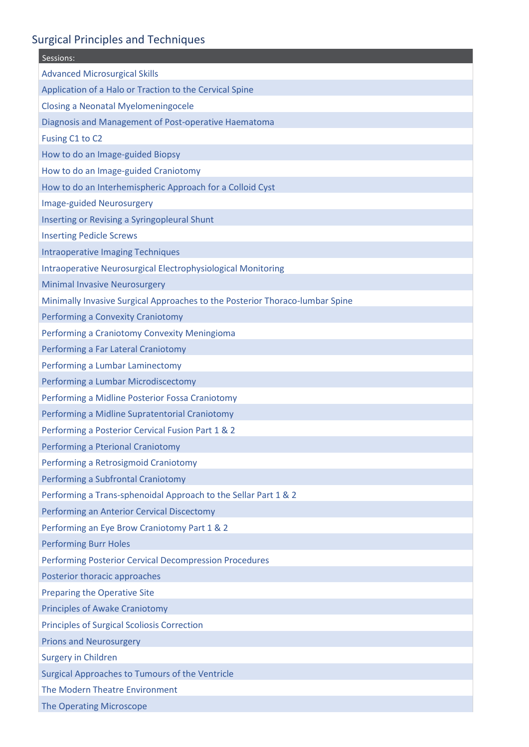<span id="page-3-0"></span>Surgical Principles and Techniques

| Sessions:                                                                    |
|------------------------------------------------------------------------------|
| <b>Advanced Microsurgical Skills</b>                                         |
| Application of a Halo or Traction to the Cervical Spine                      |
| <b>Closing a Neonatal Myelomeningocele</b>                                   |
| Diagnosis and Management of Post-operative Haematoma                         |
| Fusing C1 to C2                                                              |
| How to do an Image-guided Biopsy                                             |
| How to do an Image-guided Craniotomy                                         |
| How to do an Interhemispheric Approach for a Colloid Cyst                    |
| <b>Image-guided Neurosurgery</b>                                             |
| Inserting or Revising a Syringopleural Shunt                                 |
| <b>Inserting Pedicle Screws</b>                                              |
| <b>Intraoperative Imaging Techniques</b>                                     |
| <b>Intraoperative Neurosurgical Electrophysiological Monitoring</b>          |
| <b>Minimal Invasive Neurosurgery</b>                                         |
| Minimally Invasive Surgical Approaches to the Posterior Thoraco-lumbar Spine |
| Performing a Convexity Craniotomy                                            |
| Performing a Craniotomy Convexity Meningioma                                 |
| Performing a Far Lateral Craniotomy                                          |
| Performing a Lumbar Laminectomy                                              |
| Performing a Lumbar Microdiscectomy                                          |
| Performing a Midline Posterior Fossa Craniotomy                              |
| Performing a Midline Supratentorial Craniotomy                               |
| Performing a Posterior Cervical Fusion Part 1 & 2                            |
| Performing a Pterional Craniotomy                                            |
| Performing a Retrosigmoid Craniotomy                                         |
| Performing a Subfrontal Craniotomy                                           |
| Performing a Trans-sphenoidal Approach to the Sellar Part 1 & 2              |
| Performing an Anterior Cervical Discectomy                                   |
| Performing an Eye Brow Craniotomy Part 1 & 2                                 |
| <b>Performing Burr Holes</b>                                                 |
| <b>Performing Posterior Cervical Decompression Procedures</b>                |
| Posterior thoracic approaches                                                |
| <b>Preparing the Operative Site</b>                                          |
| <b>Principles of Awake Craniotomy</b>                                        |
| <b>Principles of Surgical Scoliosis Correction</b>                           |
| <b>Prions and Neurosurgery</b>                                               |
| <b>Surgery in Children</b>                                                   |
| Surgical Approaches to Tumours of the Ventricle                              |
| The Modern Theatre Environment                                               |
| <b>The Operating Microscope</b>                                              |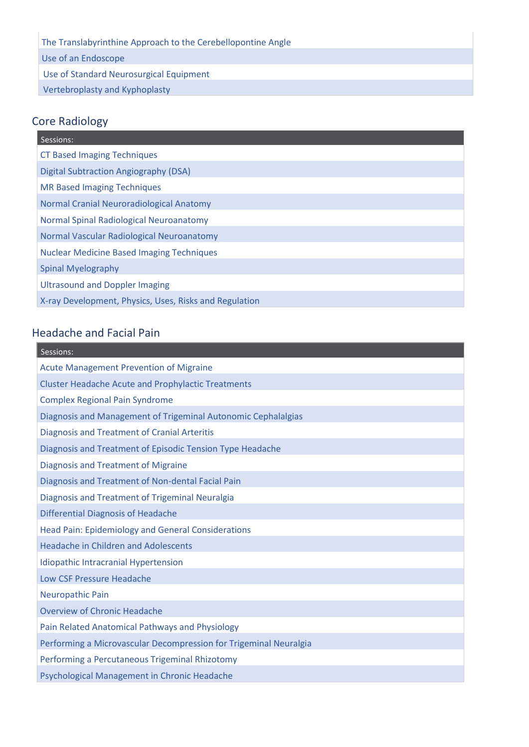The Translabyrinthine Approach to the Cerebellopontine Angle

Use of an Endoscope

Use of Standard Neurosurgical Equipment

Vertebroplasty and Kyphoplasty

#### <span id="page-4-0"></span>Core Radiology

| Sessions:                                              |
|--------------------------------------------------------|
| <b>CT Based Imaging Techniques</b>                     |
| Digital Subtraction Angiography (DSA)                  |
| <b>MR Based Imaging Techniques</b>                     |
| Normal Cranial Neuroradiological Anatomy               |
| Normal Spinal Radiological Neuroanatomy                |
| Normal Vascular Radiological Neuroanatomy              |
| <b>Nuclear Medicine Based Imaging Techniques</b>       |
| Spinal Myelography                                     |
| <b>Ultrasound and Doppler Imaging</b>                  |
| X-ray Development, Physics, Uses, Risks and Regulation |

#### <span id="page-4-1"></span>Headache and Facial Pain

| Sessions:                                                         |
|-------------------------------------------------------------------|
| <b>Acute Management Prevention of Migraine</b>                    |
| <b>Cluster Headache Acute and Prophylactic Treatments</b>         |
| <b>Complex Regional Pain Syndrome</b>                             |
| Diagnosis and Management of Trigeminal Autonomic Cephalalgias     |
| <b>Diagnosis and Treatment of Cranial Arteritis</b>               |
| Diagnosis and Treatment of Episodic Tension Type Headache         |
| <b>Diagnosis and Treatment of Migraine</b>                        |
| Diagnosis and Treatment of Non-dental Facial Pain                 |
| Diagnosis and Treatment of Trigeminal Neuralgia                   |
| <b>Differential Diagnosis of Headache</b>                         |
| Head Pain: Epidemiology and General Considerations                |
| <b>Headache in Children and Adolescents</b>                       |
| <b>Idiopathic Intracranial Hypertension</b>                       |
| Low CSF Pressure Headache                                         |
| Neuropathic Pain                                                  |
| <b>Overview of Chronic Headache</b>                               |
| Pain Related Anatomical Pathways and Physiology                   |
| Performing a Microvascular Decompression for Trigeminal Neuralgia |
| Performing a Percutaneous Trigeminal Rhizotomy                    |
| Psychological Management in Chronic Headache                      |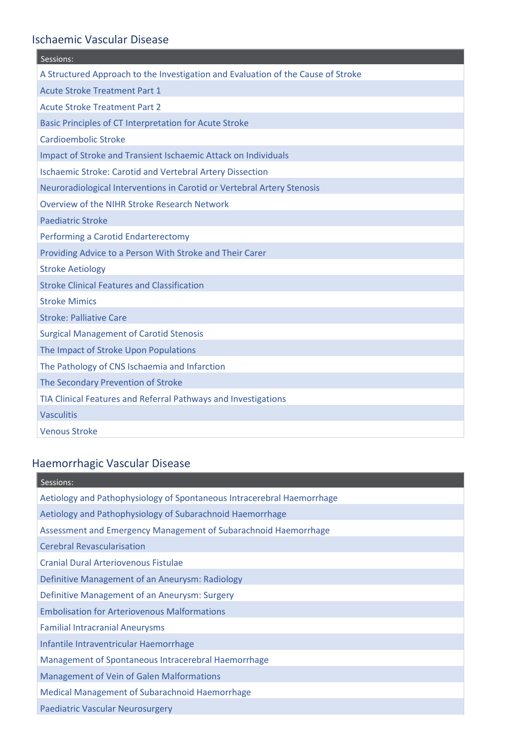## <span id="page-5-0"></span>Ischaemic Vascular Disease

| Sessions:                                                                        |  |
|----------------------------------------------------------------------------------|--|
| A Structured Approach to the Investigation and Evaluation of the Cause of Stroke |  |
| <b>Acute Stroke Treatment Part 1</b>                                             |  |
| <b>Acute Stroke Treatment Part 2</b>                                             |  |
| Basic Principles of CT Interpretation for Acute Stroke                           |  |
| Cardioembolic Stroke                                                             |  |
| Impact of Stroke and Transient Ischaemic Attack on Individuals                   |  |
| <b>Ischaemic Stroke: Carotid and Vertebral Artery Dissection</b>                 |  |
| Neuroradiological Interventions in Carotid or Vertebral Artery Stenosis          |  |
| Overview of the NIHR Stroke Research Network                                     |  |
| <b>Paediatric Stroke</b>                                                         |  |
| Performing a Carotid Endarterectomy                                              |  |
| Providing Advice to a Person With Stroke and Their Carer                         |  |
| <b>Stroke Aetiology</b>                                                          |  |
| <b>Stroke Clinical Features and Classification</b>                               |  |
| <b>Stroke Mimics</b>                                                             |  |
| <b>Stroke: Palliative Care</b>                                                   |  |
| <b>Surgical Management of Carotid Stenosis</b>                                   |  |
| The Impact of Stroke Upon Populations                                            |  |
| The Pathology of CNS Ischaemia and Infarction                                    |  |
| The Secondary Prevention of Stroke                                               |  |
| TIA Clinical Features and Referral Pathways and Investigations                   |  |
| <b>Vasculitis</b>                                                                |  |
| <b>Venous Stroke</b>                                                             |  |

## <span id="page-5-1"></span>Haemorrhagic Vascular Disease

| Sessions:                                                              |
|------------------------------------------------------------------------|
| Aetiology and Pathophysiology of Spontaneous Intracerebral Haemorrhage |
| Aetiology and Pathophysiology of Subarachnoid Haemorrhage              |
| Assessment and Emergency Management of Subarachnoid Haemorrhage        |
| <b>Cerebral Revascularisation</b>                                      |
| <b>Cranial Dural Arteriovenous Fistulae</b>                            |
| Definitive Management of an Aneurysm: Radiology                        |
| Definitive Management of an Aneurysm: Surgery                          |
| <b>Embolisation for Arteriovenous Malformations</b>                    |
| <b>Familial Intracranial Aneurysms</b>                                 |
| Infantile Intraventricular Haemorrhage                                 |
| Management of Spontaneous Intracerebral Haemorrhage                    |
| <b>Management of Vein of Galen Malformations</b>                       |
| Medical Management of Subarachnoid Haemorrhage                         |
| Paediatric Vascular Neurosurgery                                       |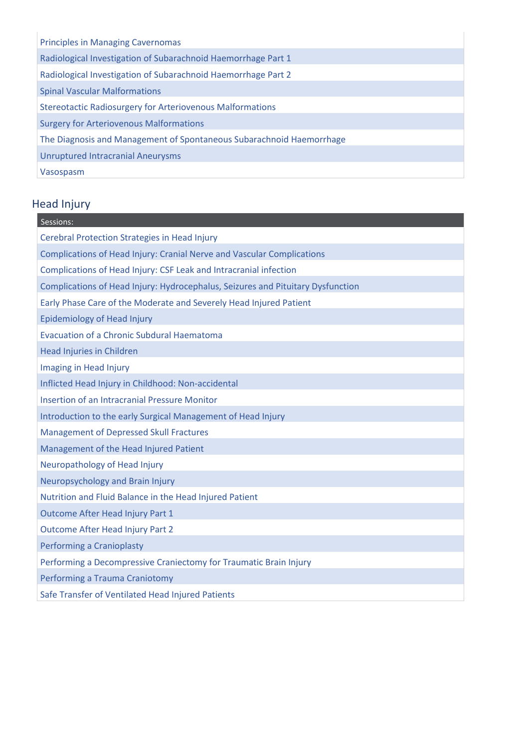| <b>Principles in Managing Cavernomas</b>                             |
|----------------------------------------------------------------------|
| Radiological Investigation of Subarachnoid Haemorrhage Part 1        |
| Radiological Investigation of Subarachnoid Haemorrhage Part 2        |
| <b>Spinal Vascular Malformations</b>                                 |
| <b>Stereotactic Radiosurgery for Arteriovenous Malformations</b>     |
| <b>Surgery for Arteriovenous Malformations</b>                       |
| The Diagnosis and Management of Spontaneous Subarachnoid Haemorrhage |
| Unruptured Intracranial Aneurysms                                    |
| Vasospasm                                                            |

# <span id="page-6-0"></span>Head Injury

<span id="page-6-1"></span>

| Sessions:                                                                       |
|---------------------------------------------------------------------------------|
| <b>Cerebral Protection Strategies in Head Injury</b>                            |
| Complications of Head Injury: Cranial Nerve and Vascular Complications          |
| Complications of Head Injury: CSF Leak and Intracranial infection               |
| Complications of Head Injury: Hydrocephalus, Seizures and Pituitary Dysfunction |
| Early Phase Care of the Moderate and Severely Head Injured Patient              |
| Epidemiology of Head Injury                                                     |
| <b>Evacuation of a Chronic Subdural Haematoma</b>                               |
| Head Injuries in Children                                                       |
| Imaging in Head Injury                                                          |
| Inflicted Head Injury in Childhood: Non-accidental                              |
| <b>Insertion of an Intracranial Pressure Monitor</b>                            |
| Introduction to the early Surgical Management of Head Injury                    |
| <b>Management of Depressed Skull Fractures</b>                                  |
| Management of the Head Injured Patient                                          |
| Neuropathology of Head Injury                                                   |
| Neuropsychology and Brain Injury                                                |
| Nutrition and Fluid Balance in the Head Injured Patient                         |
| Outcome After Head Injury Part 1                                                |
| Outcome After Head Injury Part 2                                                |
| Performing a Cranioplasty                                                       |
| Performing a Decompressive Craniectomy for Traumatic Brain Injury               |
| Performing a Trauma Craniotomy                                                  |
| Safe Transfer of Ventilated Head Injured Patients                               |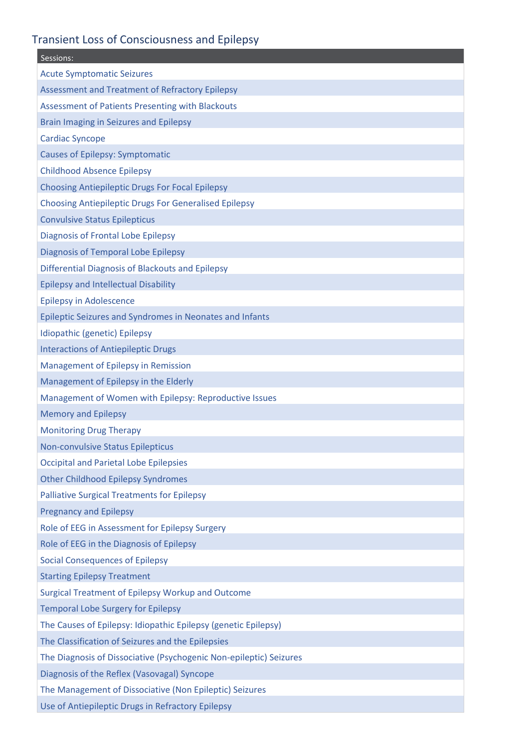# Transient Loss of Consciousness and Epilepsy

| Sessions:                                                          |
|--------------------------------------------------------------------|
| <b>Acute Symptomatic Seizures</b>                                  |
| <b>Assessment and Treatment of Refractory Epilepsy</b>             |
| <b>Assessment of Patients Presenting with Blackouts</b>            |
| <b>Brain Imaging in Seizures and Epilepsy</b>                      |
| <b>Cardiac Syncope</b>                                             |
| <b>Causes of Epilepsy: Symptomatic</b>                             |
| <b>Childhood Absence Epilepsy</b>                                  |
| <b>Choosing Antiepileptic Drugs For Focal Epilepsy</b>             |
| <b>Choosing Antiepileptic Drugs For Generalised Epilepsy</b>       |
| <b>Convulsive Status Epilepticus</b>                               |
| <b>Diagnosis of Frontal Lobe Epilepsy</b>                          |
| <b>Diagnosis of Temporal Lobe Epilepsy</b>                         |
| <b>Differential Diagnosis of Blackouts and Epilepsy</b>            |
| <b>Epilepsy and Intellectual Disability</b>                        |
| <b>Epilepsy in Adolescence</b>                                     |
| Epileptic Seizures and Syndromes in Neonates and Infants           |
| Idiopathic (genetic) Epilepsy                                      |
| <b>Interactions of Antiepileptic Drugs</b>                         |
| Management of Epilepsy in Remission                                |
| Management of Epilepsy in the Elderly                              |
| Management of Women with Epilepsy: Reproductive Issues             |
| <b>Memory and Epilepsy</b>                                         |
| <b>Monitoring Drug Therapy</b>                                     |
| <b>Non-convulsive Status Epilepticus</b>                           |
| <b>Occipital and Parietal Lobe Epilepsies</b>                      |
| <b>Other Childhood Epilepsy Syndromes</b>                          |
| <b>Palliative Surgical Treatments for Epilepsy</b>                 |
| <b>Pregnancy and Epilepsy</b>                                      |
| Role of EEG in Assessment for Epilepsy Surgery                     |
| Role of EEG in the Diagnosis of Epilepsy                           |
| <b>Social Consequences of Epilepsy</b>                             |
| <b>Starting Epilepsy Treatment</b>                                 |
| <b>Surgical Treatment of Epilepsy Workup and Outcome</b>           |
| <b>Temporal Lobe Surgery for Epilepsy</b>                          |
| The Causes of Epilepsy: Idiopathic Epilepsy (genetic Epilepsy)     |
| The Classification of Seizures and the Epilepsies                  |
| The Diagnosis of Dissociative (Psychogenic Non-epileptic) Seizures |
| Diagnosis of the Reflex (Vasovagal) Syncope                        |
| The Management of Dissociative (Non Epileptic) Seizures            |
| Use of Antiepileptic Drugs in Refractory Epilepsy                  |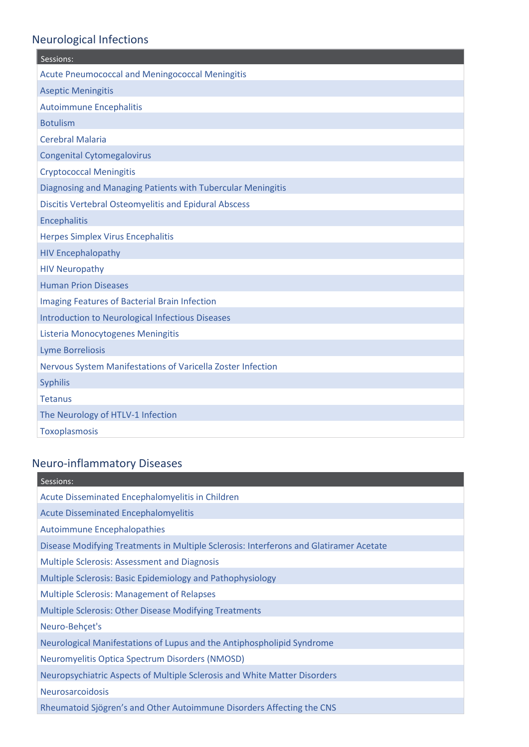# <span id="page-8-0"></span>Neurological Infections

| Sessions:                                                    |
|--------------------------------------------------------------|
| <b>Acute Pneumococcal and Meningococcal Meningitis</b>       |
| <b>Aseptic Meningitis</b>                                    |
| <b>Autoimmune Encephalitis</b>                               |
| <b>Botulism</b>                                              |
| <b>Cerebral Malaria</b>                                      |
| <b>Congenital Cytomegalovirus</b>                            |
| <b>Cryptococcal Meningitis</b>                               |
| Diagnosing and Managing Patients with Tubercular Meningitis  |
| <b>Discitis Vertebral Osteomyelitis and Epidural Abscess</b> |
| Encephalitis                                                 |
| <b>Herpes Simplex Virus Encephalitis</b>                     |
| <b>HIV Encephalopathy</b>                                    |
| <b>HIV Neuropathy</b>                                        |
| <b>Human Prion Diseases</b>                                  |
| Imaging Features of Bacterial Brain Infection                |
| <b>Introduction to Neurological Infectious Diseases</b>      |
| Listeria Monocytogenes Meningitis                            |
| <b>Lyme Borreliosis</b>                                      |
| Nervous System Manifestations of Varicella Zoster Infection  |
| <b>Syphilis</b>                                              |
| <b>Tetanus</b>                                               |
| The Neurology of HTLV-1 Infection                            |
| Toxoplasmosis                                                |

# <span id="page-8-1"></span>Neuro-inflammatory Diseases

| Sessions:                                                                              |
|----------------------------------------------------------------------------------------|
| Acute Disseminated Encephalomyelitis in Children                                       |
| <b>Acute Disseminated Encephalomyelitis</b>                                            |
| <b>Autoimmune Encephalopathies</b>                                                     |
| Disease Modifying Treatments in Multiple Sclerosis: Interferons and Glatiramer Acetate |
| <b>Multiple Sclerosis: Assessment and Diagnosis</b>                                    |
| Multiple Sclerosis: Basic Epidemiology and Pathophysiology                             |
| <b>Multiple Sclerosis: Management of Relapses</b>                                      |
| <b>Multiple Sclerosis: Other Disease Modifying Treatments</b>                          |
| Neuro-Behçet's                                                                         |
| Neurological Manifestations of Lupus and the Antiphospholipid Syndrome                 |
| <b>Neuromyelitis Optica Spectrum Disorders (NMOSD)</b>                                 |
| Neuropsychiatric Aspects of Multiple Sclerosis and White Matter Disorders              |
| <b>Neurosarcoidosis</b>                                                                |
| Rheumatoid Sjögren's and Other Autoimmune Disorders Affecting the CNS                  |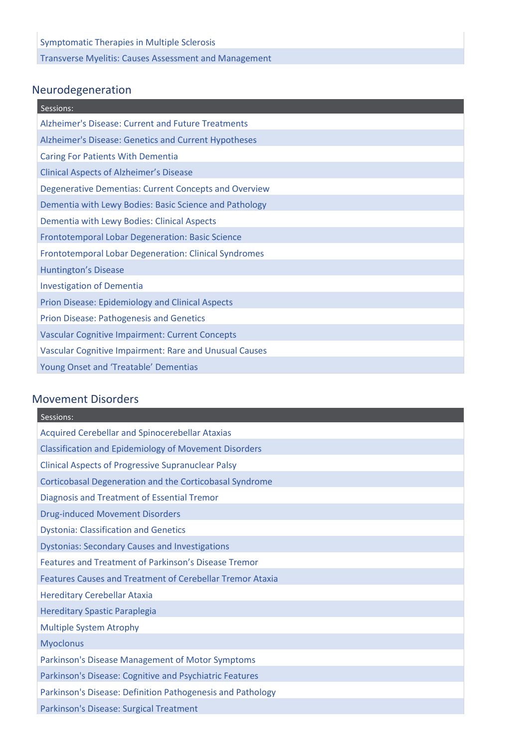## <span id="page-9-0"></span>Neurodegeneration

| Sessions:                                                     |
|---------------------------------------------------------------|
| Alzheimer's Disease: Current and Future Treatments            |
| Alzheimer's Disease: Genetics and Current Hypotheses          |
| <b>Caring For Patients With Dementia</b>                      |
| <b>Clinical Aspects of Alzheimer's Disease</b>                |
| Degenerative Dementias: Current Concepts and Overview         |
| Dementia with Lewy Bodies: Basic Science and Pathology        |
| Dementia with Lewy Bodies: Clinical Aspects                   |
| <b>Frontotemporal Lobar Degeneration: Basic Science</b>       |
| <b>Frontotemporal Lobar Degeneration: Clinical Syndromes</b>  |
| <b>Huntington's Disease</b>                                   |
| <b>Investigation of Dementia</b>                              |
| <b>Prion Disease: Epidemiology and Clinical Aspects</b>       |
| <b>Prion Disease: Pathogenesis and Genetics</b>               |
| <b>Vascular Cognitive Impairment: Current Concepts</b>        |
| <b>Vascular Cognitive Impairment: Rare and Unusual Causes</b> |
| Young Onset and 'Treatable' Dementias                         |

#### <span id="page-9-1"></span>Movement Disorders

| Sessions:                                                        |
|------------------------------------------------------------------|
| <b>Acquired Cerebellar and Spinocerebellar Ataxias</b>           |
| <b>Classification and Epidemiology of Movement Disorders</b>     |
| <b>Clinical Aspects of Progressive Supranuclear Palsy</b>        |
| Corticobasal Degeneration and the Corticobasal Syndrome          |
| Diagnosis and Treatment of Essential Tremor                      |
| <b>Drug-induced Movement Disorders</b>                           |
| <b>Dystonia: Classification and Genetics</b>                     |
| <b>Dystonias: Secondary Causes and Investigations</b>            |
| <b>Features and Treatment of Parkinson's Disease Tremor</b>      |
| <b>Features Causes and Treatment of Cerebellar Tremor Ataxia</b> |
| <b>Hereditary Cerebellar Ataxia</b>                              |
| <b>Hereditary Spastic Paraplegia</b>                             |
| <b>Multiple System Atrophy</b>                                   |
| <b>Myoclonus</b>                                                 |
| Parkinson's Disease Management of Motor Symptoms                 |
| Parkinson's Disease: Cognitive and Psychiatric Features          |
| Parkinson's Disease: Definition Pathogenesis and Pathology       |
| Parkinson's Disease: Surgical Treatment                          |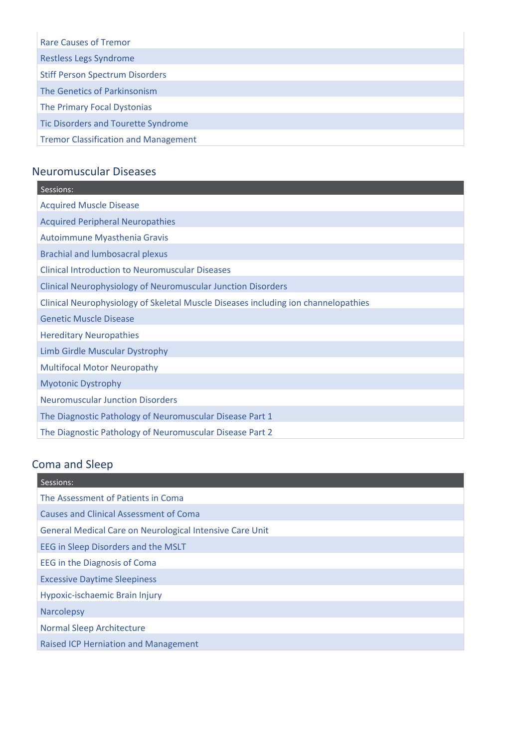| <b>Rare Causes of Tremor</b>                |
|---------------------------------------------|
| <b>Restless Legs Syndrome</b>               |
| <b>Stiff Person Spectrum Disorders</b>      |
| The Genetics of Parkinsonism                |
| The Primary Focal Dystonias                 |
| <b>Tic Disorders and Tourette Syndrome</b>  |
| <b>Tremor Classification and Management</b> |

#### <span id="page-10-0"></span>Neuromuscular Diseases

| Sessions:                                                                          |
|------------------------------------------------------------------------------------|
| <b>Acquired Muscle Disease</b>                                                     |
| <b>Acquired Peripheral Neuropathies</b>                                            |
| Autoimmune Myasthenia Gravis                                                       |
| <b>Brachial and lumbosacral plexus</b>                                             |
| <b>Clinical Introduction to Neuromuscular Diseases</b>                             |
| <b>Clinical Neurophysiology of Neuromuscular Junction Disorders</b>                |
| Clinical Neurophysiology of Skeletal Muscle Diseases including ion channelopathies |
| <b>Genetic Muscle Disease</b>                                                      |
| <b>Hereditary Neuropathies</b>                                                     |
| Limb Girdle Muscular Dystrophy                                                     |
| <b>Multifocal Motor Neuropathy</b>                                                 |
| <b>Myotonic Dystrophy</b>                                                          |
| <b>Neuromuscular Junction Disorders</b>                                            |
| The Diagnostic Pathology of Neuromuscular Disease Part 1                           |
| The Diagnostic Pathology of Neuromuscular Disease Part 2                           |
|                                                                                    |

# <span id="page-10-1"></span>Coma and Sleep

<span id="page-10-2"></span>

| Sessions:                                                |
|----------------------------------------------------------|
| The Assessment of Patients in Coma                       |
| Causes and Clinical Assessment of Coma                   |
| General Medical Care on Neurological Intensive Care Unit |
| EEG in Sleep Disorders and the MSLT                      |
| EEG in the Diagnosis of Coma                             |
| <b>Excessive Daytime Sleepiness</b>                      |
| Hypoxic-ischaemic Brain Injury                           |
| Narcolepsy                                               |
| <b>Normal Sleep Architecture</b>                         |
| <b>Raised ICP Herniation and Management</b>              |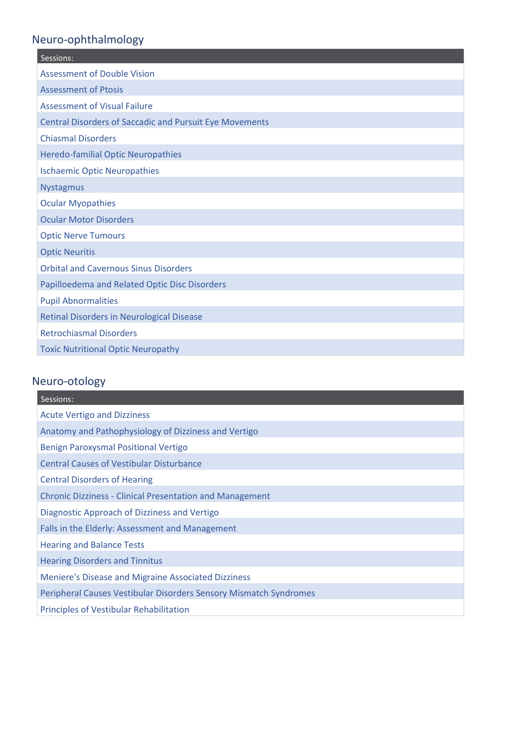# Neuro-ophthalmology

| Sessions:                                                      |
|----------------------------------------------------------------|
| <b>Assessment of Double Vision</b>                             |
| <b>Assessment of Ptosis</b>                                    |
| <b>Assessment of Visual Failure</b>                            |
| <b>Central Disorders of Saccadic and Pursuit Eye Movements</b> |
| <b>Chiasmal Disorders</b>                                      |
| <b>Heredo-familial Optic Neuropathies</b>                      |
| <b>Ischaemic Optic Neuropathies</b>                            |
| Nystagmus                                                      |
| <b>Ocular Myopathies</b>                                       |
| <b>Ocular Motor Disorders</b>                                  |
| <b>Optic Nerve Tumours</b>                                     |
| <b>Optic Neuritis</b>                                          |
| <b>Orbital and Cavernous Sinus Disorders</b>                   |
| Papilloedema and Related Optic Disc Disorders                  |
| <b>Pupil Abnormalities</b>                                     |
| <b>Retinal Disorders in Neurological Disease</b>               |
| <b>Retrochiasmal Disorders</b>                                 |
| <b>Toxic Nutritional Optic Neuropathy</b>                      |

## <span id="page-11-0"></span>Neuro-otology

<span id="page-11-1"></span>

| Sessions:                                                         |
|-------------------------------------------------------------------|
| <b>Acute Vertigo and Dizziness</b>                                |
| Anatomy and Pathophysiology of Dizziness and Vertigo              |
| <b>Benign Paroxysmal Positional Vertigo</b>                       |
| <b>Central Causes of Vestibular Disturbance</b>                   |
| <b>Central Disorders of Hearing</b>                               |
| <b>Chronic Dizziness - Clinical Presentation and Management</b>   |
| Diagnostic Approach of Dizziness and Vertigo                      |
| Falls in the Elderly: Assessment and Management                   |
| <b>Hearing and Balance Tests</b>                                  |
| <b>Hearing Disorders and Tinnitus</b>                             |
| Meniere's Disease and Migraine Associated Dizziness               |
| Peripheral Causes Vestibular Disorders Sensory Mismatch Syndromes |
| <b>Principles of Vestibular Rehabilitation</b>                    |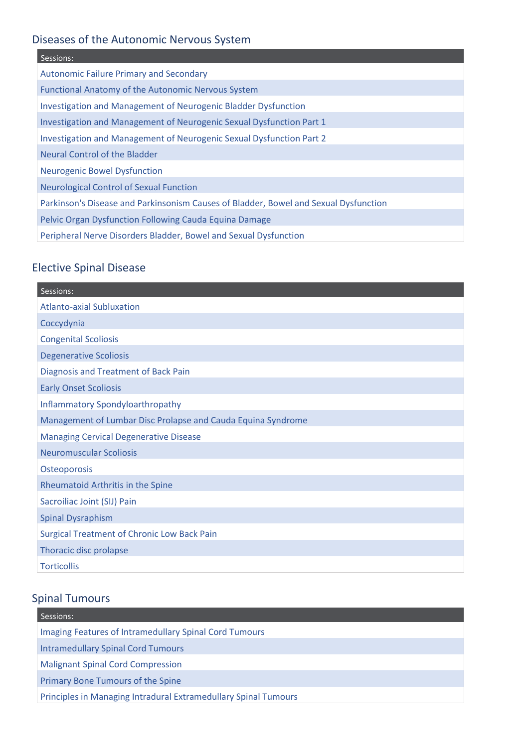# Diseases of the Autonomic Nervous System

| Sessions:                                                                            |
|--------------------------------------------------------------------------------------|
| <b>Autonomic Failure Primary and Secondary</b>                                       |
| Functional Anatomy of the Autonomic Nervous System                                   |
| Investigation and Management of Neurogenic Bladder Dysfunction                       |
| Investigation and Management of Neurogenic Sexual Dysfunction Part 1                 |
| Investigation and Management of Neurogenic Sexual Dysfunction Part 2                 |
| Neural Control of the Bladder                                                        |
| <b>Neurogenic Bowel Dysfunction</b>                                                  |
| <b>Neurological Control of Sexual Function</b>                                       |
| Parkinson's Disease and Parkinsonism Causes of Bladder, Bowel and Sexual Dysfunction |
| Pelvic Organ Dysfunction Following Cauda Equina Damage                               |
| Peripheral Nerve Disorders Bladder, Bowel and Sexual Dysfunction                     |

## <span id="page-12-0"></span>Elective Spinal Disease

| Sessions:                                                    |
|--------------------------------------------------------------|
| <b>Atlanto-axial Subluxation</b>                             |
| Coccydynia                                                   |
| <b>Congenital Scoliosis</b>                                  |
| <b>Degenerative Scoliosis</b>                                |
| <b>Diagnosis and Treatment of Back Pain</b>                  |
| <b>Early Onset Scoliosis</b>                                 |
| <b>Inflammatory Spondyloarthropathy</b>                      |
| Management of Lumbar Disc Prolapse and Cauda Equina Syndrome |
| <b>Managing Cervical Degenerative Disease</b>                |
| <b>Neuromuscular Scoliosis</b>                               |
| Osteoporosis                                                 |
| Rheumatoid Arthritis in the Spine                            |
| Sacroiliac Joint (SIJ) Pain                                  |
| <b>Spinal Dysraphism</b>                                     |
| <b>Surgical Treatment of Chronic Low Back Pain</b>           |
| Thoracic disc prolapse                                       |
| <b>Torticollis</b>                                           |

## <span id="page-12-1"></span>Spinal Tumours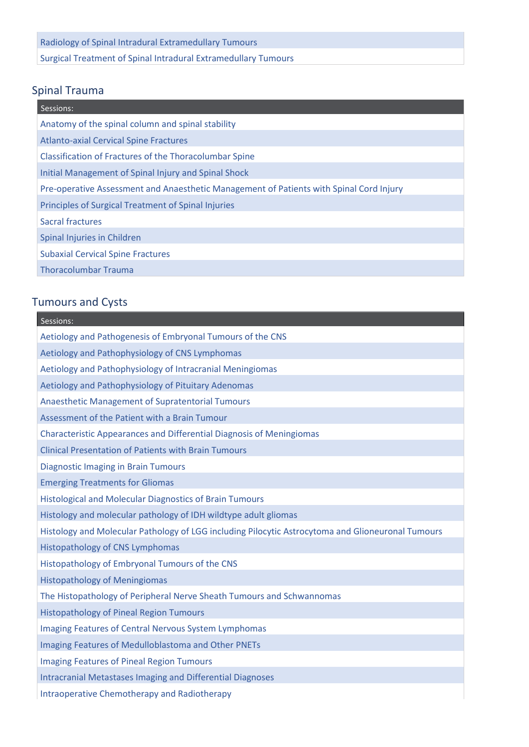Radiology of Spinal Intradural Extramedullary Tumours

<span id="page-13-0"></span>Surgical Treatment of Spinal Intradural Extramedullary Tumours

#### Spinal Trauma

| Sessions:                                                                               |
|-----------------------------------------------------------------------------------------|
| Anatomy of the spinal column and spinal stability                                       |
| <b>Atlanto-axial Cervical Spine Fractures</b>                                           |
| Classification of Fractures of the Thoracolumbar Spine                                  |
| Initial Management of Spinal Injury and Spinal Shock                                    |
| Pre-operative Assessment and Anaesthetic Management of Patients with Spinal Cord Injury |
| Principles of Surgical Treatment of Spinal Injuries                                     |
| Sacral fractures                                                                        |
| Spinal Injuries in Children                                                             |
| <b>Subaxial Cervical Spine Fractures</b>                                                |
| <b>Thoracolumbar Trauma</b>                                                             |

# <span id="page-13-1"></span>Tumours and Cysts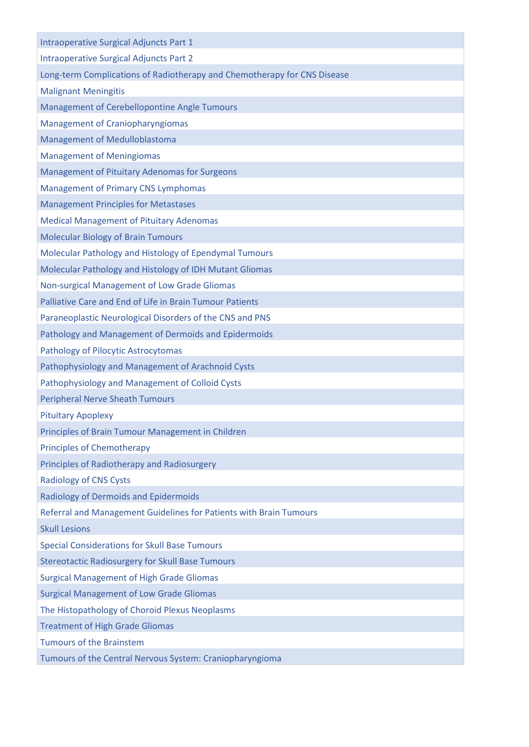<span id="page-14-0"></span>

| <b>Intraoperative Surgical Adjuncts Part 1</b>                           |
|--------------------------------------------------------------------------|
| <b>Intraoperative Surgical Adjuncts Part 2</b>                           |
| Long-term Complications of Radiotherapy and Chemotherapy for CNS Disease |
| <b>Malignant Meningitis</b>                                              |
| <b>Management of Cerebellopontine Angle Tumours</b>                      |
| <b>Management of Craniopharyngiomas</b>                                  |
| Management of Medulloblastoma                                            |
| <b>Management of Meningiomas</b>                                         |
| Management of Pituitary Adenomas for Surgeons                            |
| <b>Management of Primary CNS Lymphomas</b>                               |
| <b>Management Principles for Metastases</b>                              |
| <b>Medical Management of Pituitary Adenomas</b>                          |
| <b>Molecular Biology of Brain Tumours</b>                                |
| Molecular Pathology and Histology of Ependymal Tumours                   |
| Molecular Pathology and Histology of IDH Mutant Gliomas                  |
| Non-surgical Management of Low Grade Gliomas                             |
| Palliative Care and End of Life in Brain Tumour Patients                 |
| Paraneoplastic Neurological Disorders of the CNS and PNS                 |
| Pathology and Management of Dermoids and Epidermoids                     |
| <b>Pathology of Pilocytic Astrocytomas</b>                               |
| Pathophysiology and Management of Arachnoid Cysts                        |
| Pathophysiology and Management of Colloid Cysts                          |
| <b>Peripheral Nerve Sheath Tumours</b>                                   |
| <b>Pituitary Apoplexy</b>                                                |
| Principles of Brain Tumour Management in Children                        |
| <b>Principles of Chemotherapy</b>                                        |
| Principles of Radiotherapy and Radiosurgery                              |
| <b>Radiology of CNS Cysts</b>                                            |
| <b>Radiology of Dermoids and Epidermoids</b>                             |
| Referral and Management Guidelines for Patients with Brain Tumours       |
| <b>Skull Lesions</b>                                                     |
| <b>Special Considerations for Skull Base Tumours</b>                     |
| <b>Stereotactic Radiosurgery for Skull Base Tumours</b>                  |
| <b>Surgical Management of High Grade Gliomas</b>                         |
| <b>Surgical Management of Low Grade Gliomas</b>                          |
| The Histopathology of Choroid Plexus Neoplasms                           |
| <b>Treatment of High Grade Gliomas</b>                                   |
| <b>Tumours of the Brainstem</b>                                          |
| Tumours of the Central Nervous System: Craniopharyngioma                 |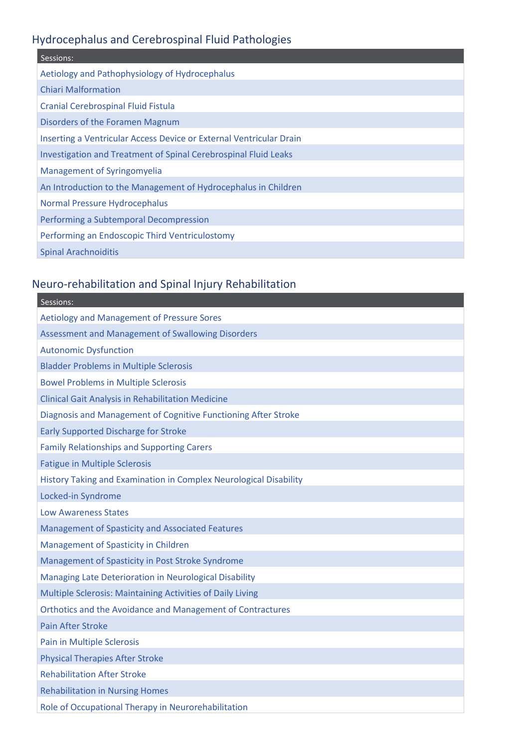# Hydrocephalus and Cerebrospinal Fluid Pathologies

| Sessions:                                                              |
|------------------------------------------------------------------------|
| Aetiology and Pathophysiology of Hydrocephalus                         |
| <b>Chiari Malformation</b>                                             |
| <b>Cranial Cerebrospinal Fluid Fistula</b>                             |
| Disorders of the Foramen Magnum                                        |
| Inserting a Ventricular Access Device or External Ventricular Drain    |
| <b>Investigation and Treatment of Spinal Cerebrospinal Fluid Leaks</b> |
| Management of Syringomyelia                                            |
| An Introduction to the Management of Hydrocephalus in Children         |
| Normal Pressure Hydrocephalus                                          |
| Performing a Subtemporal Decompression                                 |
| Performing an Endoscopic Third Ventriculostomy                         |
| <b>Spinal Arachnoiditis</b>                                            |

## <span id="page-15-0"></span>Neuro-rehabilitation and Spinal Injury Rehabilitation

| Sessions:                                                         |
|-------------------------------------------------------------------|
| <b>Aetiology and Management of Pressure Sores</b>                 |
| <b>Assessment and Management of Swallowing Disorders</b>          |
| <b>Autonomic Dysfunction</b>                                      |
| <b>Bladder Problems in Multiple Sclerosis</b>                     |
| <b>Bowel Problems in Multiple Sclerosis</b>                       |
| <b>Clinical Gait Analysis in Rehabilitation Medicine</b>          |
| Diagnosis and Management of Cognitive Functioning After Stroke    |
| <b>Early Supported Discharge for Stroke</b>                       |
| <b>Family Relationships and Supporting Carers</b>                 |
| <b>Fatigue in Multiple Sclerosis</b>                              |
| History Taking and Examination in Complex Neurological Disability |
| Locked-in Syndrome                                                |
| <b>Low Awareness States</b>                                       |
| Management of Spasticity and Associated Features                  |
| Management of Spasticity in Children                              |
| Management of Spasticity in Post Stroke Syndrome                  |
| Managing Late Deterioration in Neurological Disability            |
| Multiple Sclerosis: Maintaining Activities of Daily Living        |
| Orthotics and the Avoidance and Management of Contractures        |
| <b>Pain After Stroke</b>                                          |
| Pain in Multiple Sclerosis                                        |
| <b>Physical Therapies After Stroke</b>                            |
| <b>Rehabilitation After Stroke</b>                                |
| <b>Rehabilitation in Nursing Homes</b>                            |
| Role of Occupational Therapy in Neurorehabilitation               |